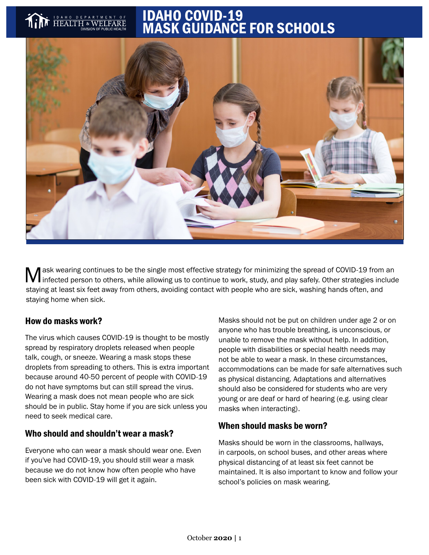# IDAHO COVID-19 MASK GUIDANCE FOR SCHOOLS



M ask wearing continues to be the single most effective strategy for minimizing the spread of COVID-19 from an<br>M infected person to others, while allowing us to continue to work, study, and play safely. Other strategies in staying at least six feet away from others, avoiding contact with people who are sick, washing hands often, and staying home when sick.

## How do masks work?

The virus which causes COVID-19 is thought to be mostly spread by respiratory droplets released when people talk, cough, or sneeze. Wearing a mask stops these droplets from spreading to others. This is extra important because around 40-50 percent of people with COVID-19 do not have symptoms but can still spread the virus. Wearing a mask does not mean people who are sick should be in public. Stay home if you are sick unless you need to seek medical care.

# Who should and shouldn't wear a mask?

Everyone who can wear a mask should wear one. Even if you've had COVID-19, you should still wear a mask because we do not know how often people who have been sick with COVID-19 will get it again.

Masks should not be put on children under age 2 or on anyone who has trouble breathing, is unconscious, or unable to remove the mask without help. In addition, people with disabilities or special health needs may not be able to wear a mask. In these circumstances, accommodations can be made for safe alternatives such as physical distancing. Adaptations and alternatives should also be considered for students who are very young or are deaf or hard of hearing (e.g. using clear masks when interacting).

# When should masks be worn?

Masks should be worn in the classrooms, hallways, in carpools, on school buses, and other areas where physical distancing of at least six feet cannot be maintained. It is also important to know and follow your school's policies on mask wearing.